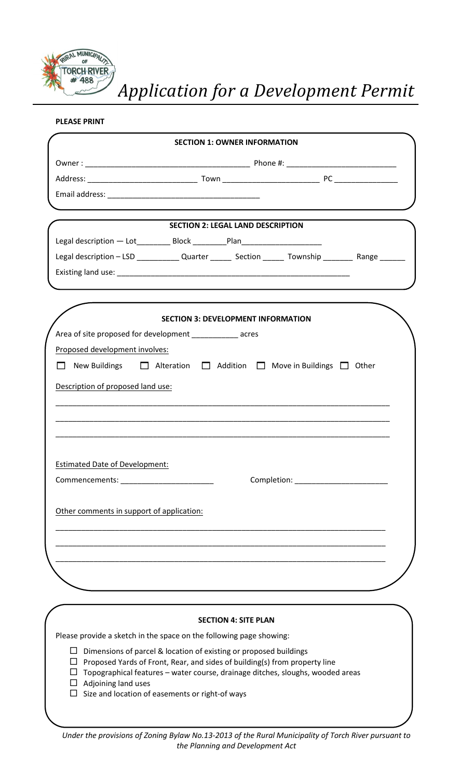

*Application for a Development Permit*

**PLEASE PRINT**

|                                           | <b>SECTION 1: OWNER INFORMATION</b>                                                                                                                    |  |  |  |
|-------------------------------------------|--------------------------------------------------------------------------------------------------------------------------------------------------------|--|--|--|
|                                           |                                                                                                                                                        |  |  |  |
|                                           |                                                                                                                                                        |  |  |  |
|                                           |                                                                                                                                                        |  |  |  |
|                                           | <b>SECTION 2: LEGAL LAND DESCRIPTION</b>                                                                                                               |  |  |  |
|                                           |                                                                                                                                                        |  |  |  |
|                                           | Legal description - LSD ______________ Quarter __________ Section ________ Township __________ Range ________                                          |  |  |  |
|                                           |                                                                                                                                                        |  |  |  |
|                                           |                                                                                                                                                        |  |  |  |
|                                           | <b>SECTION 3: DEVELOPMENT INFORMATION</b>                                                                                                              |  |  |  |
|                                           | Area of site proposed for development ____________ acres                                                                                               |  |  |  |
| Proposed development involves:            |                                                                                                                                                        |  |  |  |
|                                           | New Buildings □ Alteration □ Addition □ Move in Buildings □ Other                                                                                      |  |  |  |
| Description of proposed land use:         |                                                                                                                                                        |  |  |  |
|                                           |                                                                                                                                                        |  |  |  |
|                                           |                                                                                                                                                        |  |  |  |
|                                           |                                                                                                                                                        |  |  |  |
|                                           |                                                                                                                                                        |  |  |  |
| <b>Estimated Date of Development:</b>     |                                                                                                                                                        |  |  |  |
|                                           |                                                                                                                                                        |  |  |  |
| Other comments in support of application: |                                                                                                                                                        |  |  |  |
|                                           |                                                                                                                                                        |  |  |  |
|                                           |                                                                                                                                                        |  |  |  |
|                                           | <u> 1989 - Johann Barn, fransk politik (d. 1989)</u>                                                                                                   |  |  |  |
|                                           |                                                                                                                                                        |  |  |  |
|                                           |                                                                                                                                                        |  |  |  |
|                                           |                                                                                                                                                        |  |  |  |
|                                           | <b>SECTION 4: SITE PLAN</b>                                                                                                                            |  |  |  |
|                                           | Please provide a sketch in the space on the following page showing:                                                                                    |  |  |  |
| ப                                         | $\Box$ Dimensions of parcel & location of existing or proposed buildings<br>Proposed Yards of Front, Rear, and sides of building(s) from property line |  |  |  |
| ⊔                                         | Topographical features - water course, drainage ditches, sloughs, wooded areas                                                                         |  |  |  |
| $\Box$ Adjoining land uses                | $\Box$ Size and location of easements or right-of ways                                                                                                 |  |  |  |
|                                           |                                                                                                                                                        |  |  |  |
|                                           |                                                                                                                                                        |  |  |  |

*Under the provisions of Zoning Bylaw No.13-2013 of the Rural Municipality of Torch River pursuant to the Planning and Development Act*